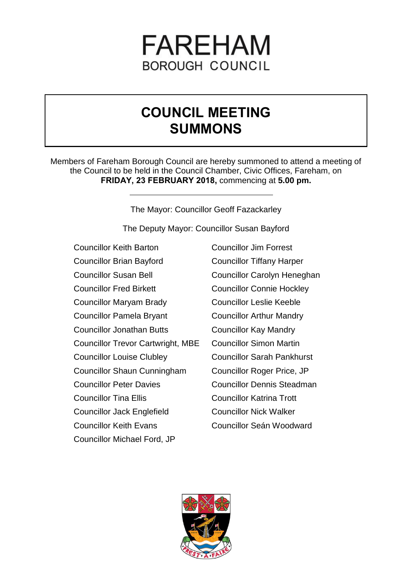# **FAREHAM BOROUGH COUNCIL**

# **COUNCIL MEETING SUMMONS**

Members of Fareham Borough Council are hereby summoned to attend a meeting of the Council to be held in the Council Chamber, Civic Offices, Fareham, on **FRIDAY, 23 FEBRUARY 2018,** commencing at **5.00 pm.**

The Mayor: Councillor Geoff Fazackarley

The Deputy Mayor: Councillor Susan Bayford

- Councillor Keith Barton Councillor Brian Bayford Councillor Susan Bell Councillor Fred Birkett Councillor Maryam Brady Councillor Pamela Bryant Councillor Jonathan Butts Councillor Trevor Cartwright, MBE Councillor Louise Clubley Councillor Shaun Cunningham Councillor Peter Davies Councillor Tina Ellis Councillor Jack Englefield Councillor Keith Evans Councillor Michael Ford, JP
- Councillor Jim Forrest Councillor Tiffany Harper Councillor Carolyn Heneghan Councillor Connie Hockley Councillor Leslie Keeble Councillor Arthur Mandry Councillor Kay Mandry Councillor Simon Martin Councillor Sarah Pankhurst Councillor Roger Price, JP Councillor Dennis Steadman Councillor Katrina Trott Councillor Nick Walker Councillor Seán Woodward

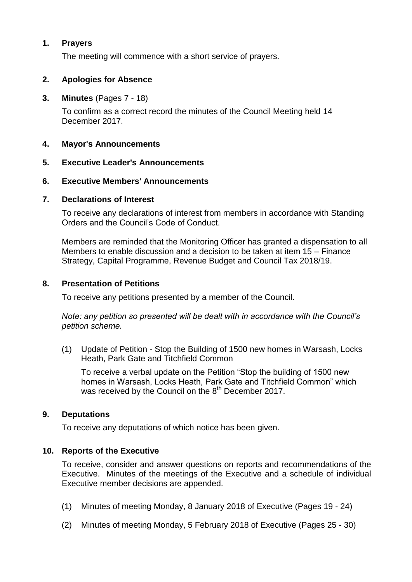# **1. Prayers**

The meeting will commence with a short service of prayers.

## **2. Apologies for Absence**

**3. Minutes** (Pages 7 - 18)

To confirm as a correct record the minutes of the Council Meeting held 14 December 2017.

#### **4. Mayor's Announcements**

#### **5. Executive Leader's Announcements**

#### **6. Executive Members' Announcements**

#### **7. Declarations of Interest**

To receive any declarations of interest from members in accordance with Standing Orders and the Council's Code of Conduct.

Members are reminded that the Monitoring Officer has granted a dispensation to all Members to enable discussion and a decision to be taken at item 15 – Finance Strategy, Capital Programme, Revenue Budget and Council Tax 2018/19.

## **8. Presentation of Petitions**

To receive any petitions presented by a member of the Council.

*Note: any petition so presented will be dealt with in accordance with the Council's petition scheme.*

(1) Update of Petition - Stop the Building of 1500 new homes in Warsash, Locks Heath, Park Gate and Titchfield Common

To receive a verbal update on the Petition "Stop the building of 1500 new homes in Warsash, Locks Heath, Park Gate and Titchfield Common" which was received by the Council on the  $8<sup>th</sup>$  December 2017.

#### **9. Deputations**

To receive any deputations of which notice has been given.

#### **10. Reports of the Executive**

To receive, consider and answer questions on reports and recommendations of the Executive. Minutes of the meetings of the Executive and a schedule of individual Executive member decisions are appended.

- (1) Minutes of meeting Monday, 8 January 2018 of Executive (Pages 19 24)
- (2) Minutes of meeting Monday, 5 February 2018 of Executive (Pages 25 30)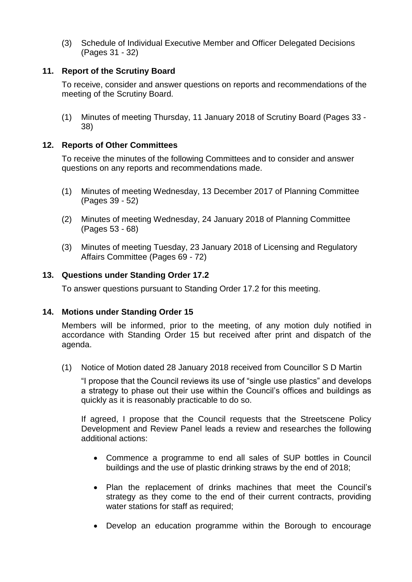(3) Schedule of Individual Executive Member and Officer Delegated Decisions (Pages 31 - 32)

# **11. Report of the Scrutiny Board**

To receive, consider and answer questions on reports and recommendations of the meeting of the Scrutiny Board.

(1) Minutes of meeting Thursday, 11 January 2018 of Scrutiny Board (Pages 33 - 38)

# **12. Reports of Other Committees**

To receive the minutes of the following Committees and to consider and answer questions on any reports and recommendations made.

- (1) Minutes of meeting Wednesday, 13 December 2017 of Planning Committee (Pages 39 - 52)
- (2) Minutes of meeting Wednesday, 24 January 2018 of Planning Committee (Pages 53 - 68)
- (3) Minutes of meeting Tuesday, 23 January 2018 of Licensing and Regulatory Affairs Committee (Pages 69 - 72)

# **13. Questions under Standing Order 17.2**

To answer questions pursuant to Standing Order 17.2 for this meeting.

# **14. Motions under Standing Order 15**

Members will be informed, prior to the meeting, of any motion duly notified in accordance with Standing Order 15 but received after print and dispatch of the agenda.

(1) Notice of Motion dated 28 January 2018 received from Councillor S D Martin

"I propose that the Council reviews its use of "single use plastics" and develops a strategy to phase out their use within the Council's offices and buildings as quickly as it is reasonably practicable to do so.

If agreed, I propose that the Council requests that the Streetscene Policy Development and Review Panel leads a review and researches the following additional actions:

- Commence a programme to end all sales of SUP bottles in Council buildings and the use of plastic drinking straws by the end of 2018;
- Plan the replacement of drinks machines that meet the Council's strategy as they come to the end of their current contracts, providing water stations for staff as required;
- Develop an education programme within the Borough to encourage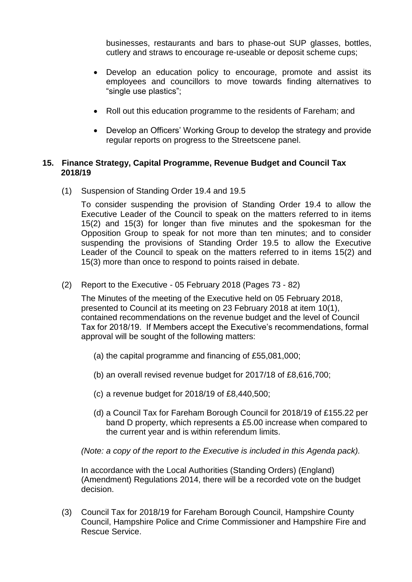businesses, restaurants and bars to phase-out SUP glasses, bottles, cutlery and straws to encourage re-useable or deposit scheme cups;

- Develop an education policy to encourage, promote and assist its employees and councillors to move towards finding alternatives to "single use plastics";
- Roll out this education programme to the residents of Fareham; and
- Develop an Officers' Working Group to develop the strategy and provide regular reports on progress to the Streetscene panel.

# **15. Finance Strategy, Capital Programme, Revenue Budget and Council Tax 2018/19**

(1) Suspension of Standing Order 19.4 and 19.5

To consider suspending the provision of Standing Order 19.4 to allow the Executive Leader of the Council to speak on the matters referred to in items 15(2) and 15(3) for longer than five minutes and the spokesman for the Opposition Group to speak for not more than ten minutes; and to consider suspending the provisions of Standing Order 19.5 to allow the Executive Leader of the Council to speak on the matters referred to in items 15(2) and 15(3) more than once to respond to points raised in debate.

(2) Report to the Executive - 05 February 2018 (Pages 73 - 82)

The Minutes of the meeting of the Executive held on 05 February 2018, presented to Council at its meeting on 23 February 2018 at item 10(1), contained recommendations on the revenue budget and the level of Council Tax for 2018/19. If Members accept the Executive's recommendations, formal approval will be sought of the following matters:

- (a) the capital programme and financing of £55,081,000;
- (b) an overall revised revenue budget for 2017/18 of £8,616,700;
- (c) a revenue budget for 2018/19 of £8,440,500;
- (d) a Council Tax for Fareham Borough Council for 2018/19 of £155.22 per band D property, which represents a £5.00 increase when compared to the current year and is within referendum limits.

*(Note: a copy of the report to the Executive is included in this Agenda pack).*

In accordance with the Local Authorities (Standing Orders) (England) (Amendment) Regulations 2014, there will be a recorded vote on the budget decision.

(3) Council Tax for 2018/19 for Fareham Borough Council, Hampshire County Council, Hampshire Police and Crime Commissioner and Hampshire Fire and Rescue Service.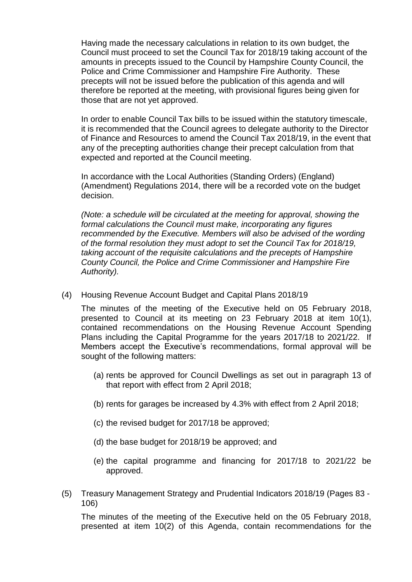Having made the necessary calculations in relation to its own budget, the Council must proceed to set the Council Tax for 2018/19 taking account of the amounts in precepts issued to the Council by Hampshire County Council, the Police and Crime Commissioner and Hampshire Fire Authority. These precepts will not be issued before the publication of this agenda and will therefore be reported at the meeting, with provisional figures being given for those that are not yet approved.

In order to enable Council Tax bills to be issued within the statutory timescale, it is recommended that the Council agrees to delegate authority to the Director of Finance and Resources to amend the Council Tax 2018/19, in the event that any of the precepting authorities change their precept calculation from that expected and reported at the Council meeting.

In accordance with the Local Authorities (Standing Orders) (England) (Amendment) Regulations 2014, there will be a recorded vote on the budget decision.

*(Note: a schedule will be circulated at the meeting for approval, showing the formal calculations the Council must make, incorporating any figures recommended by the Executive. Members will also be advised of the wording of the formal resolution they must adopt to set the Council Tax for 2018/19, taking account of the requisite calculations and the precepts of Hampshire County Council, the Police and Crime Commissioner and Hampshire Fire Authority).* 

(4) Housing Revenue Account Budget and Capital Plans 2018/19

The minutes of the meeting of the Executive held on 05 February 2018, presented to Council at its meeting on 23 February 2018 at item 10(1), contained recommendations on the Housing Revenue Account Spending Plans including the Capital Programme for the years 2017/18 to 2021/22. If Members accept the Executive's recommendations, formal approval will be sought of the following matters:

- (a) rents be approved for Council Dwellings as set out in paragraph 13 of that report with effect from 2 April 2018;
- (b) rents for garages be increased by 4.3% with effect from 2 April 2018;
- (c) the revised budget for 2017/18 be approved;
- (d) the base budget for 2018/19 be approved; and
- (e) the capital programme and financing for 2017/18 to 2021/22 be approved.
- (5) Treasury Management Strategy and Prudential Indicators 2018/19 (Pages 83 106)

The minutes of the meeting of the Executive held on the 05 February 2018, presented at item 10(2) of this Agenda, contain recommendations for the